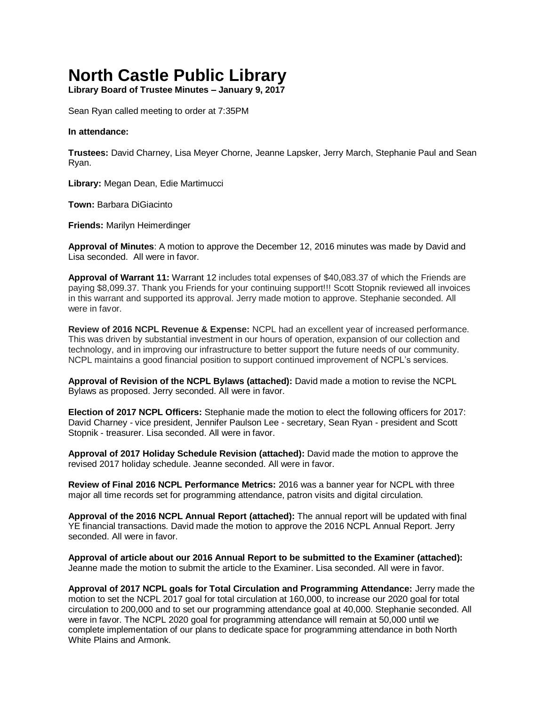# **North Castle Public Library**

**Library Board of Trustee Minutes – January 9, 2017**

Sean Ryan called meeting to order at 7:35PM

#### **In attendance:**

**Trustees:** David Charney, Lisa Meyer Chorne, Jeanne Lapsker, Jerry March, Stephanie Paul and Sean Ryan.

**Library:** Megan Dean, Edie Martimucci

**Town:** Barbara DiGiacinto

**Friends:** Marilyn Heimerdinger

**Approval of Minutes**: A motion to approve the December 12, 2016 minutes was made by David and Lisa seconded.All were in favor.

**Approval of Warrant 11:** Warrant 12 includes total expenses of \$40,083.37 of which the Friends are paying \$8,099.37. Thank you Friends for your continuing support!!! Scott Stopnik reviewed all invoices in this warrant and supported its approval. Jerry made motion to approve. Stephanie seconded. All were in favor.

**Review of 2016 NCPL Revenue & Expense:** NCPL had an excellent year of increased performance. This was driven by substantial investment in our hours of operation, expansion of our collection and technology, and in improving our infrastructure to better support the future needs of our community. NCPL maintains a good financial position to support continued improvement of NCPL's services.

**Approval of Revision of the NCPL Bylaws (attached):** David made a motion to revise the NCPL Bylaws as proposed. Jerry seconded. All were in favor.

**Election of 2017 NCPL Officers:** Stephanie made the motion to elect the following officers for 2017: David Charney - vice president, Jennifer Paulson Lee - secretary, Sean Ryan - president and Scott Stopnik - treasurer. Lisa seconded. All were in favor.

**Approval of 2017 Holiday Schedule Revision (attached):** David made the motion to approve the revised 2017 holiday schedule. Jeanne seconded. All were in favor.

**Review of Final 2016 NCPL Performance Metrics:** 2016 was a banner year for NCPL with three major all time records set for programming attendance, patron visits and digital circulation.

**Approval of the 2016 NCPL Annual Report (attached):** The annual report will be updated with final YE financial transactions. David made the motion to approve the 2016 NCPL Annual Report. Jerry seconded. All were in favor.

**Approval of article about our 2016 Annual Report to be submitted to the Examiner (attached):** Jeanne made the motion to submit the article to the Examiner. Lisa seconded. All were in favor.

**Approval of 2017 NCPL goals for Total Circulation and Programming Attendance:** Jerry made the motion to set the NCPL 2017 goal for total circulation at 160,000, to increase our 2020 goal for total circulation to 200,000 and to set our programming attendance goal at 40,000. Stephanie seconded. All were in favor. The NCPL 2020 goal for programming attendance will remain at 50,000 until we complete implementation of our plans to dedicate space for programming attendance in both North White Plains and Armonk.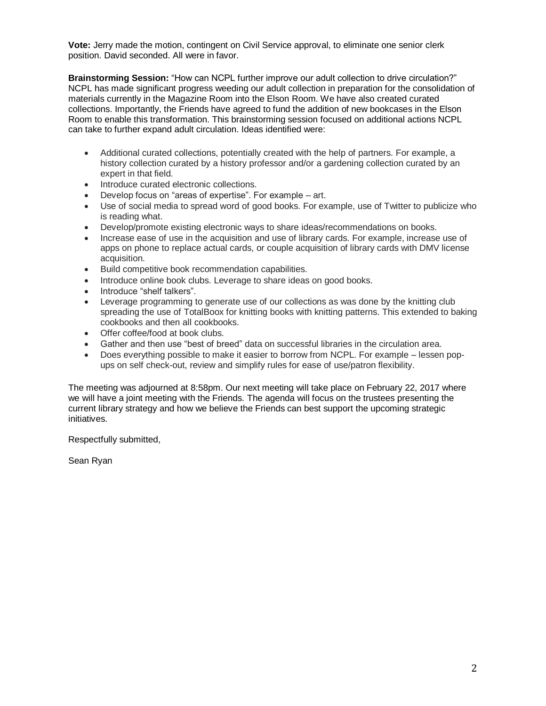**Vote:** Jerry made the motion, contingent on Civil Service approval, to eliminate one senior clerk position. David seconded. All were in favor.

**Brainstorming Session:** "How can NCPL further improve our adult collection to drive circulation?" NCPL has made significant progress weeding our adult collection in preparation for the consolidation of materials currently in the Magazine Room into the Elson Room. We have also created curated collections. Importantly, the Friends have agreed to fund the addition of new bookcases in the Elson Room to enable this transformation. This brainstorming session focused on additional actions NCPL can take to further expand adult circulation. Ideas identified were:

- Additional curated collections, potentially created with the help of partners. For example, a history collection curated by a history professor and/or a gardening collection curated by an expert in that field.
- Introduce curated electronic collections.
- Develop focus on "areas of expertise". For example art.
- Use of social media to spread word of good books. For example, use of Twitter to publicize who is reading what.
- Develop/promote existing electronic ways to share ideas/recommendations on books.
- Increase ease of use in the acquisition and use of library cards. For example, increase use of apps on phone to replace actual cards, or couple acquisition of library cards with DMV license acquisition.
- Build competitive book recommendation capabilities.
- Introduce online book clubs. Leverage to share ideas on good books.
- Introduce "shelf talkers".
- Leverage programming to generate use of our collections as was done by the knitting club spreading the use of TotalBoox for knitting books with knitting patterns. This extended to baking cookbooks and then all cookbooks.
- Offer coffee/food at book clubs.
- Gather and then use "best of breed" data on successful libraries in the circulation area.
- Does everything possible to make it easier to borrow from NCPL. For example lessen popups on self check-out, review and simplify rules for ease of use/patron flexibility.

The meeting was adjourned at 8:58pm. Our next meeting will take place on February 22, 2017 where we will have a joint meeting with the Friends. The agenda will focus on the trustees presenting the current library strategy and how we believe the Friends can best support the upcoming strategic initiatives.

Respectfully submitted,

Sean Ryan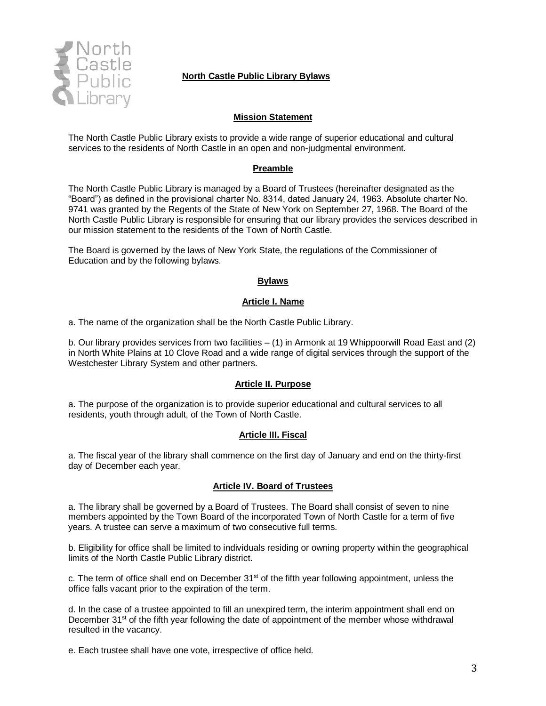

# **North Castle Public Library Bylaws**

## **Mission Statement**

The North Castle Public Library exists to provide a wide range of superior educational and cultural services to the residents of North Castle in an open and non-judgmental environment.

## **Preamble**

The North Castle Public Library is managed by a Board of Trustees (hereinafter designated as the "Board") as defined in the provisional charter No. 8314, dated January 24, 1963. Absolute charter No. 9741 was granted by the Regents of the State of New York on September 27, 1968. The Board of the North Castle Public Library is responsible for ensuring that our library provides the services described in our mission statement to the residents of the Town of North Castle.

The Board is governed by the laws of New York State, the regulations of the Commissioner of Education and by the following bylaws.

#### **Bylaws**

#### **Article I. Name**

a. The name of the organization shall be the North Castle Public Library.

b. Our library provides services from two facilities – (1) in Armonk at 19 Whippoorwill Road East and (2) in North White Plains at 10 Clove Road and a wide range of digital services through the support of the Westchester Library System and other partners.

#### **Article II. Purpose**

a. The purpose of the organization is to provide superior educational and cultural services to all residents, youth through adult, of the Town of North Castle.

#### **Article III. Fiscal**

a. The fiscal year of the library shall commence on the first day of January and end on the thirty-first day of December each year.

## **Article IV. Board of Trustees**

a. The library shall be governed by a Board of Trustees. The Board shall consist of seven to nine members appointed by the Town Board of the incorporated Town of North Castle for a term of five years. A trustee can serve a maximum of two consecutive full terms.

b. Eligibility for office shall be limited to individuals residing or owning property within the geographical limits of the North Castle Public Library district.

c. The term of office shall end on December  $31<sup>st</sup>$  of the fifth year following appointment, unless the office falls vacant prior to the expiration of the term.

d. In the case of a trustee appointed to fill an unexpired term, the interim appointment shall end on December  $31<sup>st</sup>$  of the fifth year following the date of appointment of the member whose withdrawal resulted in the vacancy.

e. Each trustee shall have one vote, irrespective of office held.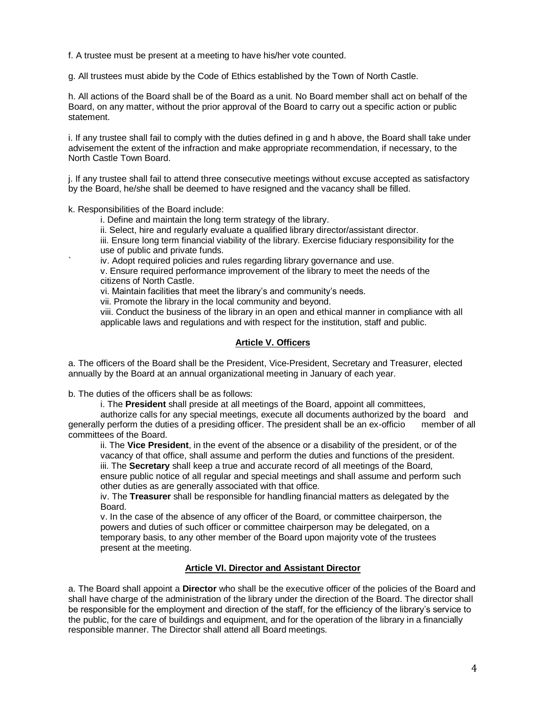f. A trustee must be present at a meeting to have his/her vote counted.

g. All trustees must abide by the Code of Ethics established by the Town of North Castle.

h. All actions of the Board shall be of the Board as a unit. No Board member shall act on behalf of the Board, on any matter, without the prior approval of the Board to carry out a specific action or public statement.

i. If any trustee shall fail to comply with the duties defined in g and h above, the Board shall take under advisement the extent of the infraction and make appropriate recommendation, if necessary, to the North Castle Town Board.

j. If any trustee shall fail to attend three consecutive meetings without excuse accepted as satisfactory by the Board, he/she shall be deemed to have resigned and the vacancy shall be filled.

k. Responsibilities of the Board include:

i. Define and maintain the long term strategy of the library.

ii. Select, hire and regularly evaluate a qualified library director/assistant director.

iii. Ensure long term financial viability of the library. Exercise fiduciary responsibility for the use of public and private funds.

iv. Adopt required policies and rules regarding library governance and use.

v. Ensure required performance improvement of the library to meet the needs of the citizens of North Castle.

vi. Maintain facilities that meet the library's and community's needs.

vii. Promote the library in the local community and beyond.

viii. Conduct the business of the library in an open and ethical manner in compliance with all applicable laws and regulations and with respect for the institution, staff and public.

## **Article V. Officers**

a. The officers of the Board shall be the President, Vice-President, Secretary and Treasurer, elected annually by the Board at an annual organizational meeting in January of each year.

b. The duties of the officers shall be as follows:

i. The **President** shall preside at all meetings of the Board, appoint all committees,

authorize calls for any special meetings, execute all documents authorized by the board and<br>ly perform the duties of a presiding officer. The president shall be an ex-officio member of all generally perform the duties of a presiding officer. The president shall be an ex-officio committees of the Board.

ii. The **Vice President**, in the event of the absence or a disability of the president, or of the vacancy of that office, shall assume and perform the duties and functions of the president. iii. The **Secretary** shall keep a true and accurate record of all meetings of the Board, ensure public notice of all regular and special meetings and shall assume and perform such other duties as are generally associated with that office.

iv. The **Treasurer** shall be responsible for handling financial matters as delegated by the Board.

v. In the case of the absence of any officer of the Board, or committee chairperson, the powers and duties of such officer or committee chairperson may be delegated, on a temporary basis, to any other member of the Board upon majority vote of the trustees present at the meeting.

## **Article VI. Director and Assistant Director**

a. The Board shall appoint a **Director** who shall be the executive officer of the policies of the Board and shall have charge of the administration of the library under the direction of the Board. The director shall be responsible for the employment and direction of the staff, for the efficiency of the library's service to the public, for the care of buildings and equipment, and for the operation of the library in a financially responsible manner. The Director shall attend all Board meetings.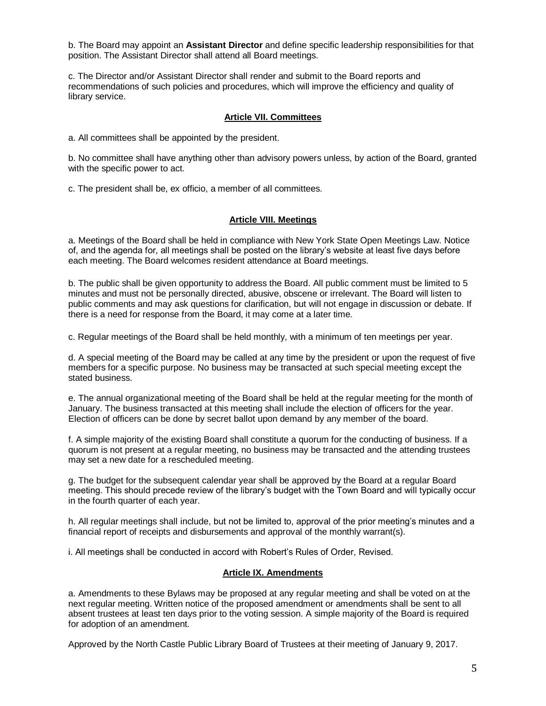b. The Board may appoint an **Assistant Director** and define specific leadership responsibilities for that position. The Assistant Director shall attend all Board meetings.

c. The Director and/or Assistant Director shall render and submit to the Board reports and recommendations of such policies and procedures, which will improve the efficiency and quality of library service.

#### **Article VII. Committees**

a. All committees shall be appointed by the president.

b. No committee shall have anything other than advisory powers unless, by action of the Board, granted with the specific power to act.

c. The president shall be, ex officio, a member of all committees.

## **Article VIII. Meetings**

a. Meetings of the Board shall be held in compliance with New York State Open Meetings Law. Notice of, and the agenda for, all meetings shall be posted on the library's website at least five days before each meeting. The Board welcomes resident attendance at Board meetings.

b. The public shall be given opportunity to address the Board. All public comment must be limited to 5 minutes and must not be personally directed, abusive, obscene or irrelevant. The Board will listen to public comments and may ask questions for clarification, but will not engage in discussion or debate. If there is a need for response from the Board, it may come at a later time.

c. Regular meetings of the Board shall be held monthly, with a minimum of ten meetings per year.

d. A special meeting of the Board may be called at any time by the president or upon the request of five members for a specific purpose. No business may be transacted at such special meeting except the stated business.

e. The annual organizational meeting of the Board shall be held at the regular meeting for the month of January. The business transacted at this meeting shall include the election of officers for the year. Election of officers can be done by secret ballot upon demand by any member of the board.

f. A simple majority of the existing Board shall constitute a quorum for the conducting of business. If a quorum is not present at a regular meeting, no business may be transacted and the attending trustees may set a new date for a rescheduled meeting.

g. The budget for the subsequent calendar year shall be approved by the Board at a regular Board meeting. This should precede review of the library's budget with the Town Board and will typically occur in the fourth quarter of each year.

h. All regular meetings shall include, but not be limited to, approval of the prior meeting's minutes and a financial report of receipts and disbursements and approval of the monthly warrant(s).

i. All meetings shall be conducted in accord with Robert's Rules of Order, Revised.

#### **Article IX. Amendments**

a. Amendments to these Bylaws may be proposed at any regular meeting and shall be voted on at the next regular meeting. Written notice of the proposed amendment or amendments shall be sent to all absent trustees at least ten days prior to the voting session. A simple majority of the Board is required for adoption of an amendment.

Approved by the North Castle Public Library Board of Trustees at their meeting of January 9, 2017.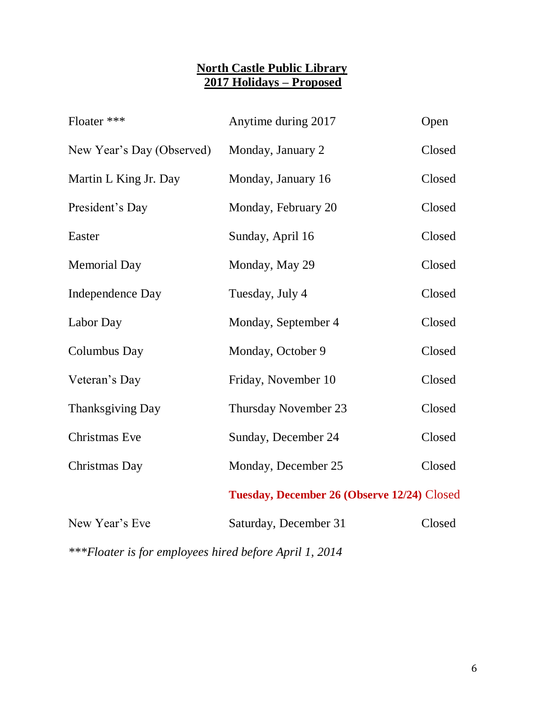# **North Castle Public Library 2017 Holidays – Proposed**

| Anytime during 2017<br>Open                 |        |  |
|---------------------------------------------|--------|--|
| Monday, January 2                           | Closed |  |
| Monday, January 16                          | Closed |  |
| Monday, February 20                         | Closed |  |
| Sunday, April 16                            | Closed |  |
| Monday, May 29                              | Closed |  |
| Tuesday, July 4                             | Closed |  |
| Monday, September 4                         | Closed |  |
| Monday, October 9                           | Closed |  |
| Friday, November 10                         | Closed |  |
| Thursday November 23                        | Closed |  |
| Sunday, December 24                         | Closed |  |
| Monday, December 25                         | Closed |  |
| Tuesday, December 26 (Observe 12/24) Closed |        |  |
| Saturday, December 31                       | Closed |  |
|                                             |        |  |

*\*\*\*Floater is for employees hired before April 1, 2014*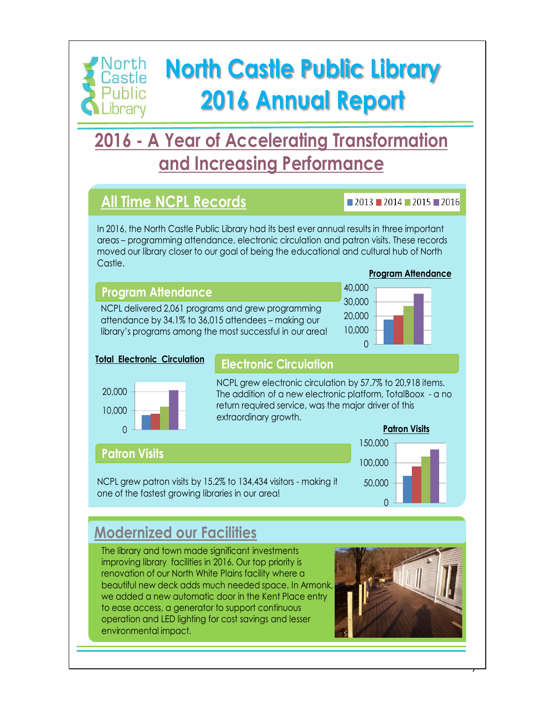# orth **North Castle Public Library** Castle **2016 Annual Report**

# **2016 - A Year of Accelerating Transformation and Increasing Performance**

# **All Time NCPL Records**

Public .ibrary

# $2013$  2014 2015 2016

In 2016, the North Castle Public Library had its best ever annual results in three important areas – programming attendance, electronic circulation and patron visits. These records moved our library closer to our goal of being the educational and cultural hub of North Castle.

# **Program Attendance**

NCPL delivered 2,061 programs and grew programming attendance by 34.1% to 36,015 attendees – making our library's programs among the most successful in our area!

# **Program Attendance**



# **Total Electronic Circulation**

# **Electronic Circulation**



NCPL grew electronic circulation by 57.7% to 20,918 items. The addition of a new electronic platform, TotalBoox - a no return required service, was the major driver of this extraordinary growth.

# **Patron Visits**

NCPL grew patron visits by 15.2% to 134,434 visitors - making it one of the fastest growing libraries in our area!



# **Modernized our Facilities**

The library and town made significant investments improving library facilities in 2016. Our top priority is renovation of our North White Plains facility where a beautiful new deck adds much needed space. In Armonk, we added a new automatic door in the Kent Place entry to ease access, a generator to support continuous operation and LED lighting for cost savings and lesser environmental impact.



0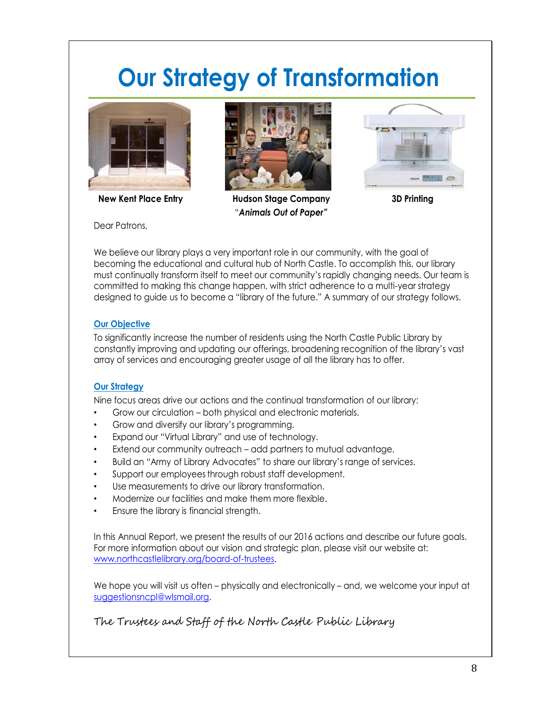# **Our Strategy of Transformation**





**New Kent Place Entry Hudson Stage Company 3D Printing** "*Animals Out of Paper"*



Dear Patrons,

We believe our library plays a very important role in our community, with the goal of becoming the educational and cultural hub of North Castle. To accomplish this, our library must continually transform itself to meet our community's rapidly changing needs. Our team is committed to making this change happen, with strict adherence to a multi-year strategy designed to guide us to become a "library of the future." A summary of our strategy follows.

# **Our Objective**

To significantly increase the number of residents using the North Castle Public Library by constantly improving and updating our offerings, broadening recognition of the library's vast array of services and encouraging greater usage of all the library has to offer.

# **Our Strategy**

Nine focus areas drive our actions and the continual transformation of our library:

- Grow our circulation both physical and electronic materials.
- Grow and diversify our library's programming.
- Expand our "Virtual Library" and use of technology.
- Extend our community outreach add partners to mutual advantage.
- Build an "Army of Library Advocates" to share our library's range of services.
- Support our employees through robust staff development.
- Use measurements to drive our library transformation.
- Modernize our facilities and make them more flexible.
- Ensure the library is financial strength.

In this Annual Report, we present the results of our 2016 actions and describe our future goals. For more information about our vision and strategic plan, please visit our website at: www.northcastlelibrary.org/board-of-trustees.

We hope you will visit us often – physically and electronically – and, we welcome your input at suggestionsncpl@wlsmail.org.

# The Trustees and Staff of the North Castle Public Library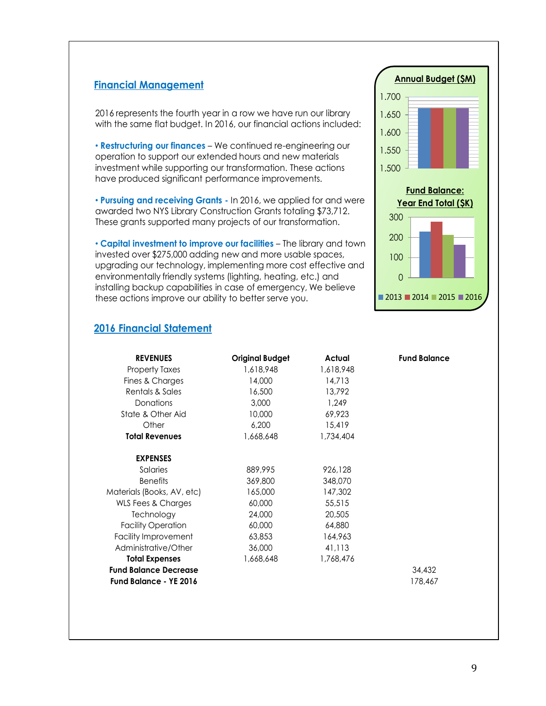# **Financial Management**

2016 represents the fourth year in a row we have run our library with the same flat budget. In 2016, our financial actions included:

• **Restructuring our finances** – We continued re-engineering our operation to support our extended hours and new materials investment while supporting our transformation. These actions have produced significant performance improvements.

• **Pursuing and receiving Grants -** In 2016, we applied for and were awarded two NYS Library Construction Grants totaling \$73,712. These grants supported many projects of our transformation.

• **Capital investment to improve our facilities** – The library and town invested over \$275,000 adding new and more usable spaces, upgrading our technology, implementing more cost effective and environmentally friendly systems (lighting, heating, etc.) and installing backup capabilities in case of emergency, We believe these actions improve our ability to better serve you.



# **2016 Financial Statement**

| <b>REVENUES</b>              | <b>Original Budget</b> | Actual    | <b>Fund Balance</b> |
|------------------------------|------------------------|-----------|---------------------|
| <b>Property Taxes</b>        | 1,618,948              | 1,618,948 |                     |
| Fines & Charges              | 14,000                 | 14.713    |                     |
| Rentals & Sales              | 16,500                 | 13,792    |                     |
| Donations                    | 3,000                  | 1.249     |                     |
| State & Other Aid            | 10,000                 | 69.923    |                     |
| Other                        | 6,200                  | 15,419    |                     |
| <b>Total Revenues</b>        | 1,668,648              | 1,734,404 |                     |
| <b>EXPENSES</b>              |                        |           |                     |
| Salaries                     | 889,995                | 926,128   |                     |
| <b>Benefits</b>              | 369,800                | 348,070   |                     |
| Materials (Books, AV, etc)   | 165,000                | 147,302   |                     |
| WLS Fees & Charges           | 60,000                 | 55,515    |                     |
| Technology                   | 24,000                 | 20,505    |                     |
| <b>Facility Operation</b>    | 60,000                 | 64,880    |                     |
| Facility Improvement         | 63,853                 | 164,963   |                     |
| Administrative/Other         | 36,000                 | 41,113    |                     |
| <b>Total Expenses</b>        | 1,668,648              | 1,768,476 |                     |
| <b>Fund Balance Decrease</b> |                        |           | 34,432              |
| Fund Balance - YE 2016       |                        |           | 178,467             |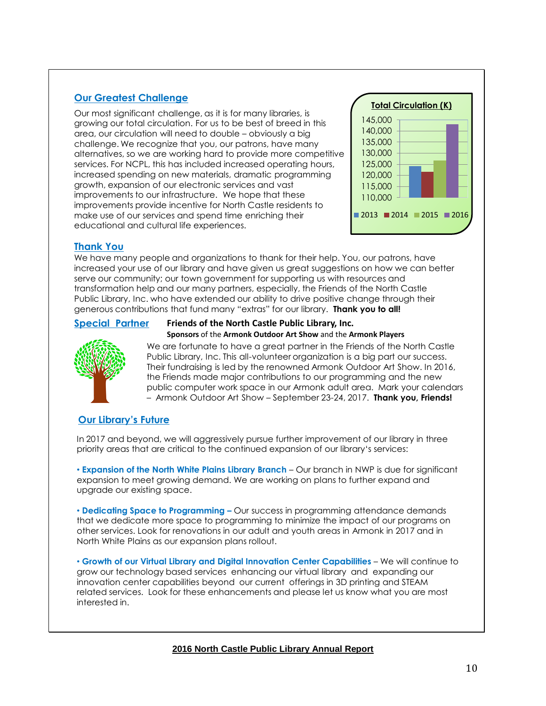# **Our Greatest Challenge**

Our most significant challenge, as it is for many libraries, is growing our total circulation. For us to be best of breed in this area, our circulation will need to double – obviously a big challenge. We recognize that you, our patrons, have many alternatives, so we are working hard to provide more competitive services. For NCPL, this has included increased operating hours, increased spending on new materials, dramatic programming growth, expansion of our electronic services and vast improvements to our infrastructure. We hope that these improvements provide incentive for North Castle residents to make use of our services and spend time enriching their educational and cultural life experiences.



## **Thank You**

We have many people and organizations to thank for their help. You, our patrons, have increased your use of our library and have given us great suggestions on how we can better serve our community; our town government for supporting us with resources and transformation help and our many partners, especially, the Friends of the North Castle Public Library, Inc. who have extended our ability to drive positive change through their generous contributions that fund many "extras" for our library. **Thank you to all!**

**Friends of the North Castle Public Library, Inc.**

# **Special Partner**



**Sponsors** of the **Armonk Outdoor Art Show** and the **Armonk Players** We are fortunate to have a great partner in the Friends of the North Castle Public Library, Inc. This all-volunteer organization is a big part our success. Their fundraising is led by the renowned Armonk Outdoor Art Show. In 2016, the Friends made major contributions to our programming and the new public computer work space in our Armonk adult area. Mark your calendars – Armonk Outdoor Art Show – September 23-24, 2017. **Thank you, Friends!** 

# **Our Library's Future**

In 2017 and beyond, we will aggressively pursue further improvement of our library in three priority areas that are critical to the continued expansion of our library's services:

• **Expansion of the North White Plains Library Branch** – Our branch in NWP is due for significant expansion to meet growing demand. We are working on plans to further expand and upgrade our existing space.

• **Dedicating Space to Programming –** Our success in programming attendance demands that we dedicate more space to programming to minimize the impact of our programs on other services. Look for renovations in our adult and youth areas in Armonk in 2017 and in North White Plains as our expansion plans rollout.

• **Growth of our Virtual Library and Digital Innovation Center Capabilities** – We will continue to grow our technology based services enhancing our virtual library and expanding our innovation center capabilities beyond our current offerings in 3D printing and STEAM related services. Look for these enhancements and please let us know what you are most interested in.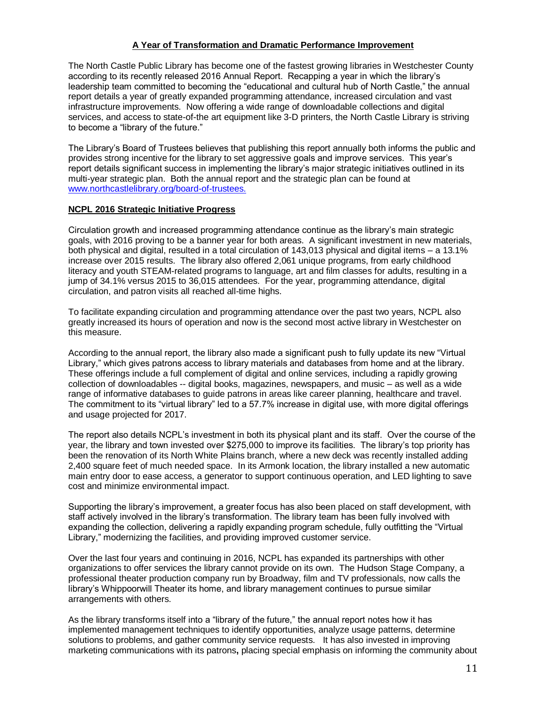#### **A Year of Transformation and Dramatic Performance Improvement**

The North Castle Public Library has become one of the fastest growing libraries in Westchester County according to its recently released 2016 Annual Report. Recapping a year in which the library's leadership team committed to becoming the "educational and cultural hub of North Castle," the annual report details a year of greatly expanded programming attendance, increased circulation and vast infrastructure improvements. Now offering a wide range of downloadable collections and digital services, and access to state-of-the art equipment like 3-D printers, the North Castle Library is striving to become a "library of the future."

The Library's Board of Trustees believes that publishing this report annually both informs the public and provides strong incentive for the library to set aggressive goals and improve services. This year's report details significant success in implementing the library's major strategic initiatives outlined in its multi-year strategic plan. Both the annual report and the strategic plan can be found at [www.northcastlelibrary.org/board-of-trustees.](http://www.northcastlelibrary.org/board-of-trustees)

#### **NCPL 2016 Strategic Initiative Progress**

Circulation growth and increased programming attendance continue as the library's main strategic goals, with 2016 proving to be a banner year for both areas. A significant investment in new materials, both physical and digital, resulted in a total circulation of 143,013 physical and digital items – a 13.1% increase over 2015 results. The library also offered 2,061 unique programs, from early childhood literacy and youth STEAM-related programs to language, art and film classes for adults, resulting in a jump of 34.1% versus 2015 to 36,015 attendees. For the year, programming attendance, digital circulation, and patron visits all reached all-time highs.

To facilitate expanding circulation and programming attendance over the past two years, NCPL also greatly increased its hours of operation and now is the second most active library in Westchester on this measure.

According to the annual report, the library also made a significant push to fully update its new "Virtual Library," which gives patrons access to library materials and databases from home and at the library. These offerings include a full complement of digital and online services, including a rapidly growing collection of downloadables -- digital books, magazines, newspapers, and music – as well as a wide range of informative databases to guide patrons in areas like career planning, healthcare and travel. The commitment to its "virtual library" led to a 57.7% increase in digital use, with more digital offerings and usage projected for 2017.

The report also details NCPL's investment in both its physical plant and its staff. Over the course of the year, the library and town invested over \$275,000 to improve its facilities. The library's top priority has been the renovation of its North White Plains branch, where a new deck was recently installed adding 2,400 square feet of much needed space. In its Armonk location, the library installed a new automatic main entry door to ease access, a generator to support continuous operation, and LED lighting to save cost and minimize environmental impact.

Supporting the library's improvement, a greater focus has also been placed on staff development, with staff actively involved in the library's transformation. The library team has been fully involved with expanding the collection, delivering a rapidly expanding program schedule, fully outfitting the "Virtual Library," modernizing the facilities, and providing improved customer service.

Over the last four years and continuing in 2016, NCPL has expanded its partnerships with other organizations to offer services the library cannot provide on its own. The Hudson Stage Company, a professional theater production company run by Broadway, film and TV professionals, now calls the library's Whippoorwill Theater its home, and library management continues to pursue similar arrangements with others.

As the library transforms itself into a "library of the future," the annual report notes how it has implemented management techniques to identify opportunities, analyze usage patterns, determine solutions to problems, and gather community service requests. It has also invested in improving marketing communications with its patrons**,** placing special emphasis on informing the community about